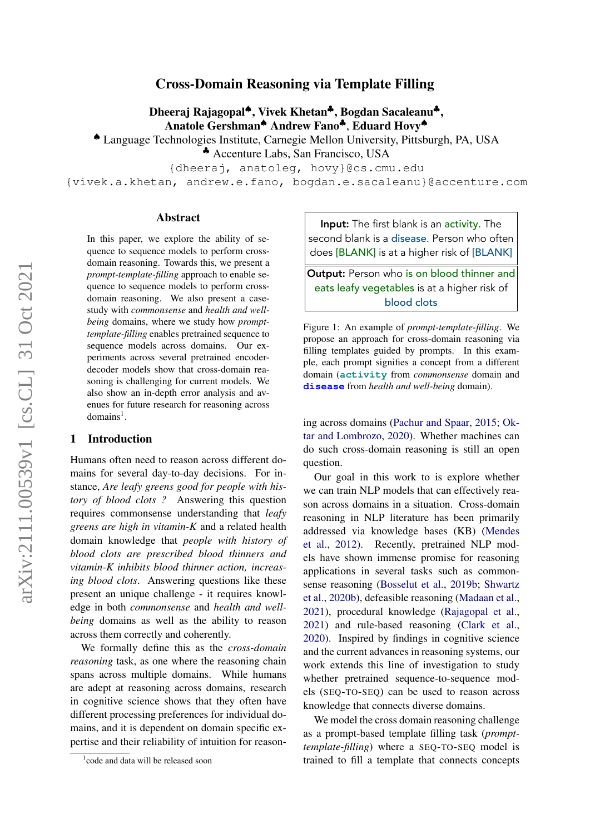# Cross-Domain Reasoning via Template Filling

Dheeraj Rajagopal♠, Vivek Khetan♣, Bogdan Sacaleanu♣, Anatole Gershman♠ Andrew Fano♣, Eduard Hovy♠

♠ Language Technologies Institute, Carnegie Mellon University, Pittsburgh, PA, USA

♣ Accenture Labs, San Francisco, USA

{dheeraj, anatoleg, hovy}@cs.cmu.edu

{vivek.a.khetan, andrew.e.fano, bogdan.e.sacaleanu}@accenture.com

#### Abstract

In this paper, we explore the ability of sequence to sequence models to perform crossdomain reasoning. Towards this, we present a *prompt-template-filling* approach to enable sequence to sequence models to perform crossdomain reasoning. We also present a casestudy with *commonsense* and *health and wellbeing* domains, where we study how *prompttemplate-filling* enables pretrained sequence to sequence models across domains. Our experiments across several pretrained encoderdecoder models show that cross-domain reasoning is challenging for current models. We also show an in-depth error analysis and avenues for future research for reasoning across domains<sup>[1](#page-0-0)</sup>.

### 1 Introduction

Humans often need to reason across different domains for several day-to-day decisions. For instance, *Are leafy greens good for people with history of blood clots ?* Answering this question requires commonsense understanding that *leafy greens are high in vitamin-K* and a related health domain knowledge that *people with history of blood clots are prescribed blood thinners and vitamin-K inhibits blood thinner action, increasing blood clots*. Answering questions like these present an unique challenge - it requires knowledge in both *commonsense* and *health and wellbeing* domains as well as the ability to reason across them correctly and coherently.

We formally define this as the *cross-domain reasoning* task, as one where the reasoning chain spans across multiple domains. While humans are adept at reasoning across domains, research in cognitive science shows that they often have different processing preferences for individual domains, and it is dependent on domain specific expertise and their reliability of intuition for reason-

<span id="page-0-1"></span>Input: The first blank is an activity. The second blank is a disease. Person who often does [BLANK] is at a higher risk of [BLANK]

Output: Person who is on blood thinner and eats leafy vegetables is at a higher risk of blood clots

Figure 1: An example of *prompt-template-filling*. We propose an approach for cross-domain reasoning via filling templates guided by prompts. In this example, each prompt signifies a concept from a different domain (**activity** from *commonsense* domain and **disease** from *health and well-being* domain).

ing across domains [\(Pachur and Spaar,](#page-8-0) [2015;](#page-8-0) [Ok](#page-8-1)[tar and Lombrozo,](#page-8-1) [2020\)](#page-8-1). Whether machines can do such cross-domain reasoning is still an open question.

Our goal in this work to is explore whether we can train NLP models that can effectively reason across domains in a situation. Cross-domain reasoning in NLP literature has been primarily addressed via knowledge bases (KB) [\(Mendes](#page-8-2) [et al.,](#page-8-2) [2012\)](#page-8-2). Recently, pretrained NLP models have shown immense promise for reasoning applications in several tasks such as commonsense reasoning [\(Bosselut et al.,](#page-7-0) [2019b;](#page-7-0) [Shwartz](#page-8-3) [et al.,](#page-8-3) [2020b\)](#page-8-3), defeasible reasoning [\(Madaan et al.,](#page-7-1) [2021\)](#page-7-1), procedural knowledge [\(Rajagopal et al.,](#page-8-4) [2021\)](#page-8-4) and rule-based reasoning [\(Clark et al.,](#page-7-2) [2020\)](#page-7-2). Inspired by findings in cognitive science and the current advances in reasoning systems, our work extends this line of investigation to study whether pretrained sequence-to-sequence models (SEQ-TO-SEQ) can be used to reason across knowledge that connects diverse domains.

We model the cross domain reasoning challenge as a prompt-based template filling task (*prompttemplate-filling*) where a SEQ-TO-SEQ model is trained to fill a template that connects concepts

<span id="page-0-0"></span><sup>1</sup> code and data will be released soon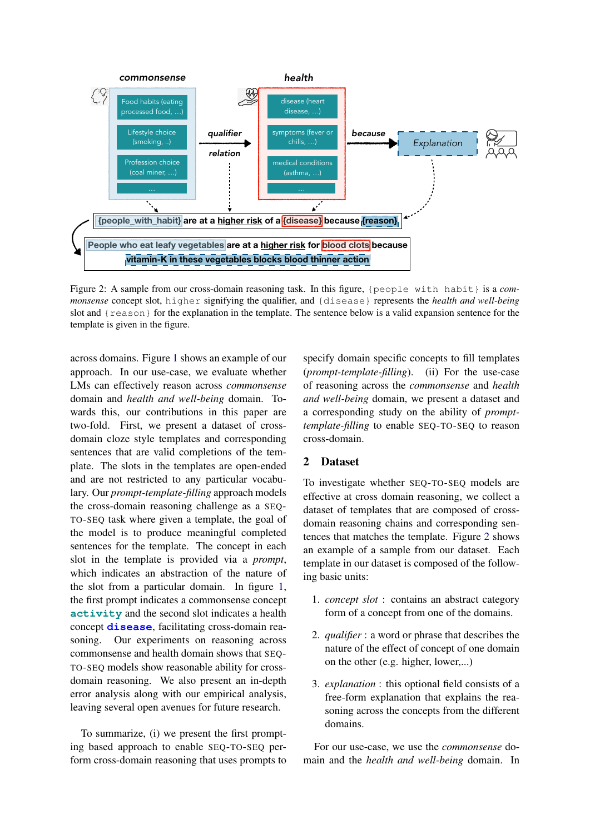<span id="page-1-0"></span>

Figure 2: A sample from our cross-domain reasoning task. In this figure, {people with habit} is a *commonsense* concept slot, higher signifying the qualifier, and {disease} represents the *health and well-being* slot and {reason} for the explanation in the template. The sentence below is a valid expansion sentence for the template is given in the figure.

across domains. Figure [1](#page-0-1) shows an example of our approach. In our use-case, we evaluate whether LMs can effectively reason across *commonsense* domain and *health and well-being* domain. Towards this, our contributions in this paper are two-fold. First, we present a dataset of crossdomain cloze style templates and corresponding sentences that are valid completions of the template. The slots in the templates are open-ended and are not restricted to any particular vocabulary. Our *prompt-template-filling* approach models the cross-domain reasoning challenge as a SEQ-TO-SEQ task where given a template, the goal of the model is to produce meaningful completed sentences for the template. The concept in each slot in the template is provided via a *prompt*, which indicates an abstraction of the nature of the slot from a particular domain. In figure [1,](#page-0-1) the first prompt indicates a commonsense concept **activity** and the second slot indicates a health concept **disease**, facilitating cross-domain reasoning. Our experiments on reasoning across commonsense and health domain shows that SEQ-TO-SEQ models show reasonable ability for crossdomain reasoning. We also present an in-depth error analysis along with our empirical analysis, leaving several open avenues for future research.

To summarize, (i) we present the first prompting based approach to enable SEQ-TO-SEQ perform cross-domain reasoning that uses prompts to specify domain specific concepts to fill templates (*prompt-template-filling*). (ii) For the use-case of reasoning across the *commonsense* and *health and well-being* domain, we present a dataset and a corresponding study on the ability of *prompttemplate-filling* to enable SEQ-TO-SEQ to reason cross-domain.

## 2 Dataset

To investigate whether SEQ-TO-SEQ models are effective at cross domain reasoning, we collect a dataset of templates that are composed of crossdomain reasoning chains and corresponding sentences that matches the template. Figure [2](#page-1-0) shows an example of a sample from our dataset. Each template in our dataset is composed of the following basic units:

- 1. *concept slot* : contains an abstract category form of a concept from one of the domains.
- 2. *qualifier* : a word or phrase that describes the nature of the effect of concept of one domain on the other (e.g. higher, lower,...)
- 3. *explanation* : this optional field consists of a free-form explanation that explains the reasoning across the concepts from the different domains.

For our use-case, we use the *commonsense* domain and the *health and well-being* domain. In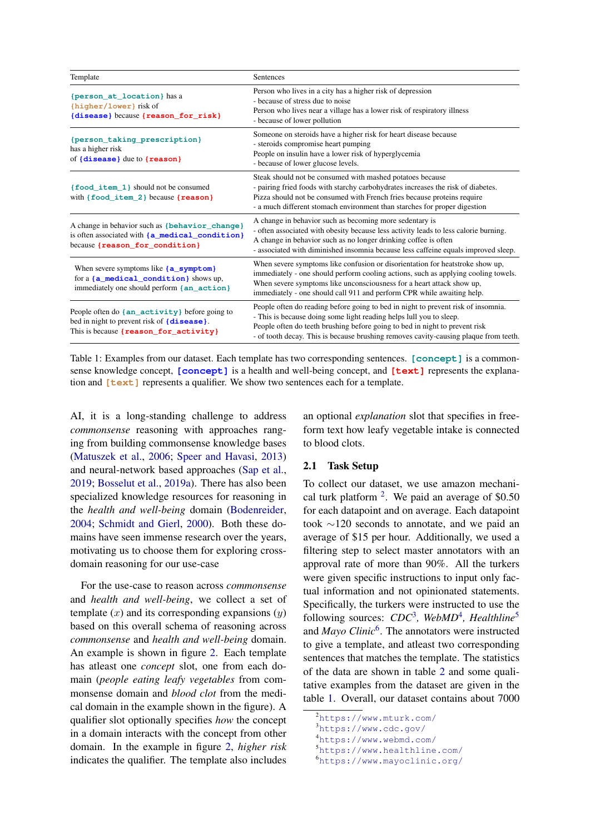<span id="page-2-5"></span>

| Template                                                                                                                             | Sentences                                                                                                                                                                                                                                                                                                                       |  |
|--------------------------------------------------------------------------------------------------------------------------------------|---------------------------------------------------------------------------------------------------------------------------------------------------------------------------------------------------------------------------------------------------------------------------------------------------------------------------------|--|
| {person_at_location} has a<br>{higher/lower} risk of<br>{disease} because {reason_for_risk}                                          | Person who lives in a city has a higher risk of depression<br>- because of stress due to noise<br>Person who lives near a village has a lower risk of respiratory illness<br>- because of lower pollution                                                                                                                       |  |
| {person_taking_prescription}<br>has a higher risk<br>of {disease} due to {reason}                                                    | Someone on steroids have a higher risk for heart disease because<br>- steroids compromise heart pumping<br>People on insulin have a lower risk of hyperglycemia<br>- because of lower glucose levels.                                                                                                                           |  |
| {food_item_1} should not be consumed<br>with {food_item_2} because {reason}                                                          | Steak should not be consumed with mashed potatoes because<br>- pairing fried foods with starchy carbohydrates increases the risk of diabetes.<br>Pizza should not be consumed with French fries because proteins require<br>- a much different stomach environment than starches for proper digestion                           |  |
| A change in behavior such as {behavior_change}<br>is often associated with {a_medical_condition}<br>because {reason_for_condition}   | A change in behavior such as becoming more sedentary is<br>- often associated with obesity because less activity leads to less calorie burning.<br>A change in behavior such as no longer drinking coffee is often<br>- associated with diminished insomnia because less caffeine equals improved sleep.                        |  |
| When severe symptoms like $\{a$ symptom}<br>for a {a_medical_condition} shows up,<br>immediately one should perform {an_action}      | When severe symptoms like confusion or disorientation for heatstroke show up,<br>immediately - one should perform cooling actions, such as applying cooling towels.<br>When severe symptoms like unconsciousness for a heart attack show up,<br>immediately - one should call 911 and perform CPR while awaiting help.          |  |
| People often do {an_activity} before going to<br>bed in night to prevent risk of {disease}.<br>This is because {reason_for_activity} | People often do reading before going to bed in night to prevent risk of insomnia.<br>- This is because doing some light reading helps lull you to sleep.<br>People often do teeth brushing before going to bed in night to prevent risk<br>- of tooth decay. This is because brushing removes cavity-causing plaque from teeth. |  |

Table 1: Examples from our dataset. Each template has two corresponding sentences. **[concept]** is a commonsense knowledge concept, **[concept]** is a health and well-being concept, and **[text]** represents the explanation and **[text]** represents a qualifier. We show two sentences each for a template.

AI, it is a long-standing challenge to address *commonsense* reasoning with approaches ranging from building commonsense knowledge bases [\(Matuszek et al.,](#page-7-3) [2006;](#page-7-3) [Speer and Havasi,](#page-8-5) [2013\)](#page-8-5) and neural-network based approaches [\(Sap et al.,](#page-8-6) [2019;](#page-8-6) [Bosselut et al.,](#page-6-0) [2019a\)](#page-6-0). There has also been specialized knowledge resources for reasoning in the *health and well-being* domain [\(Bodenreider,](#page-6-1) [2004;](#page-6-1) [Schmidt and Gierl,](#page-8-7) [2000\)](#page-8-7). Both these domains have seen immense research over the years, motivating us to choose them for exploring crossdomain reasoning for our use-case

For the use-case to reason across *commonsense* and *health and well-being*, we collect a set of template  $(x)$  and its corresponding expansions  $(y)$ based on this overall schema of reasoning across *commonsense* and *health and well-being* domain. An example is shown in figure [2.](#page-1-0) Each template has atleast one *concept* slot, one from each domain (*people eating leafy vegetables* from commonsense domain and *blood clot* from the medical domain in the example shown in the figure). A qualifier slot optionally specifies *how* the concept in a domain interacts with the concept from other domain. In the example in figure [2,](#page-1-0) *higher risk* indicates the qualifier. The template also includes an optional *explanation* slot that specifies in freeform text how leafy vegetable intake is connected to blood clots.

### 2.1 Task Setup

To collect our dataset, we use amazon mechanical turk platform  $2$ . We paid an average of \$0.50 for each datapoint and on average. Each datapoint took ∼120 seconds to annotate, and we paid an average of \$15 per hour. Additionally, we used a filtering step to select master annotators with an approval rate of more than 90%. All the turkers were given specific instructions to input only factual information and not opinionated statements. Specifically, the turkers were instructed to use the following sources:  $CDC^3$  $CDC^3$ , WebMD<sup>[4](#page-2-2)</sup>, Healthline<sup>[5](#page-2-3)</sup> and *Mayo Clinic*<sup>[6](#page-2-4)</sup>. The annotators were instructed to give a template, and atleast two corresponding sentences that matches the template. The statistics of the data are shown in table [2](#page-3-0) and some qualitative examples from the dataset are given in the table [1.](#page-2-5) Overall, our dataset contains about 7000

<span id="page-2-0"></span><sup>2</sup><https://www.mturk.com/>

<span id="page-2-1"></span><sup>3</sup><https://www.cdc.gov/>

<span id="page-2-2"></span><sup>4</sup><https://www.webmd.com/>

<span id="page-2-3"></span><sup>5</sup><https://www.healthline.com/>

<span id="page-2-4"></span><sup>6</sup><https://www.mayoclinic.org/>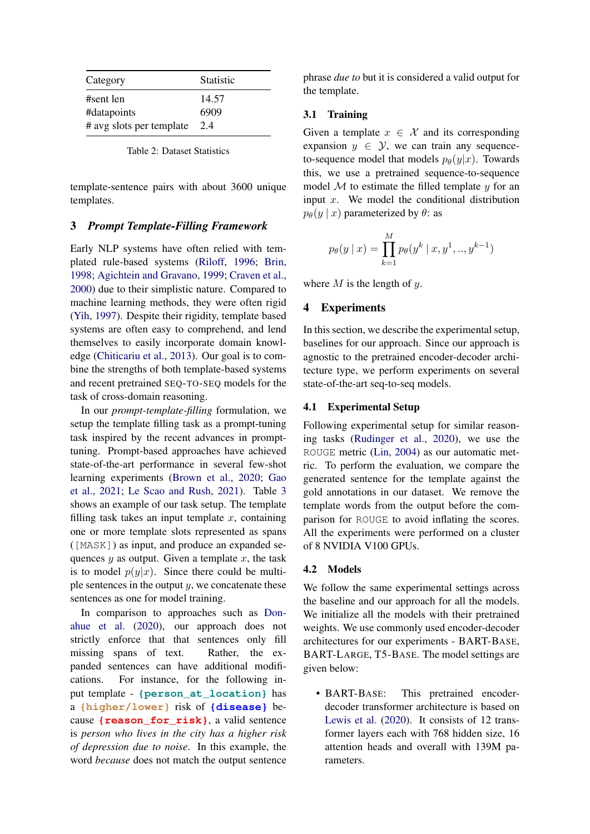<span id="page-3-0"></span>

| Category                 | <b>Statistic</b> |
|--------------------------|------------------|
| #sent len                | 14.57            |
| #datapoints              | 6909             |
| # avg slots per template | 2.4              |

Table 2: Dataset Statistics

template-sentence pairs with about 3600 unique templates.

## 3 *Prompt Template-Filling Framework*

Early NLP systems have often relied with templated rule-based systems [\(Riloff,](#page-8-8) [1996;](#page-8-8) [Brin,](#page-7-4) [1998;](#page-7-4) [Agichtein and Gravano,](#page-6-2) [1999;](#page-6-2) [Craven et al.,](#page-7-5) [2000\)](#page-7-5) due to their simplistic nature. Compared to machine learning methods, they were often rigid [\(Yih,](#page-9-0) [1997\)](#page-9-0). Despite their rigidity, template based systems are often easy to comprehend, and lend themselves to easily incorporate domain knowledge [\(Chiticariu et al.,](#page-7-6) [2013\)](#page-7-6). Our goal is to combine the strengths of both template-based systems and recent pretrained SEQ-TO-SEQ models for the task of cross-domain reasoning.

In our *prompt-template-filling* formulation, we setup the template filling task as a prompt-tuning task inspired by the recent advances in prompttuning. Prompt-based approaches have achieved state-of-the-art performance in several few-shot learning experiments [\(Brown et al.,](#page-7-7) [2020;](#page-7-7) [Gao](#page-7-8) [et al.,](#page-7-8) [2021;](#page-7-8) [Le Scao and Rush,](#page-7-9) [2021\)](#page-7-9). Table [3](#page-4-0) shows an example of our task setup. The template filling task takes an input template  $x$ , containing one or more template slots represented as spans ([MASK]) as input, and produce an expanded sequences  $y$  as output. Given a template  $x$ , the task is to model  $p(y|x)$ . Since there could be multiple sentences in the output  $y$ , we concatenate these sentences as one for model training.

In comparison to approaches such as [Don](#page-7-10)[ahue et al.](#page-7-10) [\(2020\)](#page-7-10), our approach does not strictly enforce that that sentences only fill missing spans of text. Rather, the expanded sentences can have additional modifications. For instance, for the following input template - **{person\_at\_location}** has a **{higher/lower}** risk of **{disease}** because **{reason\_for\_risk}**, a valid sentence is *person who lives in the city has a higher risk of depression due to noise*. In this example, the word *because* does not match the output sentence phrase *due to* but it is considered a valid output for the template.

### 3.1 Training

Given a template  $x \in \mathcal{X}$  and its corresponding expansion  $y \in \mathcal{Y}$ , we can train any sequenceto-sequence model that models  $p_{\theta}(y|x)$ . Towards this, we use a pretrained sequence-to-sequence model  $M$  to estimate the filled template  $y$  for an input  $x$ . We model the conditional distribution  $p_{\theta}(y | x)$  parameterized by  $\theta$ : as

$$
p_{\theta}(y \mid x) = \prod_{k=1}^{M} p_{\theta}(y^k \mid x, y^1, ..., y^{k-1})
$$

where  $M$  is the length of  $y$ .

#### 4 Experiments

In this section, we describe the experimental setup, baselines for our approach. Since our approach is agnostic to the pretrained encoder-decoder architecture type, we perform experiments on several state-of-the-art seq-to-seq models.

#### 4.1 Experimental Setup

Following experimental setup for similar reasoning tasks [\(Rudinger et al.,](#page-8-9) [2020\)](#page-8-9), we use the ROUGE metric [\(Lin,](#page-7-11) [2004\)](#page-7-11) as our automatic metric. To perform the evaluation, we compare the generated sentence for the template against the gold annotations in our dataset. We remove the template words from the output before the comparison for ROUGE to avoid inflating the scores. All the experiments were performed on a cluster of 8 NVIDIA V100 GPUs.

#### 4.2 Models

We follow the same experimental settings across the baseline and our approach for all the models. We initialize all the models with their pretrained weights. We use commonly used encoder-decoder architectures for our experiments - BART-BASE, BART-LARGE, T5-BASE. The model settings are given below:

• BART-BASE: This pretrained encoderdecoder transformer architecture is based on [Lewis et al.](#page-7-12) [\(2020\)](#page-7-12). It consists of 12 transformer layers each with 768 hidden size, 16 attention heads and overall with 139M parameters.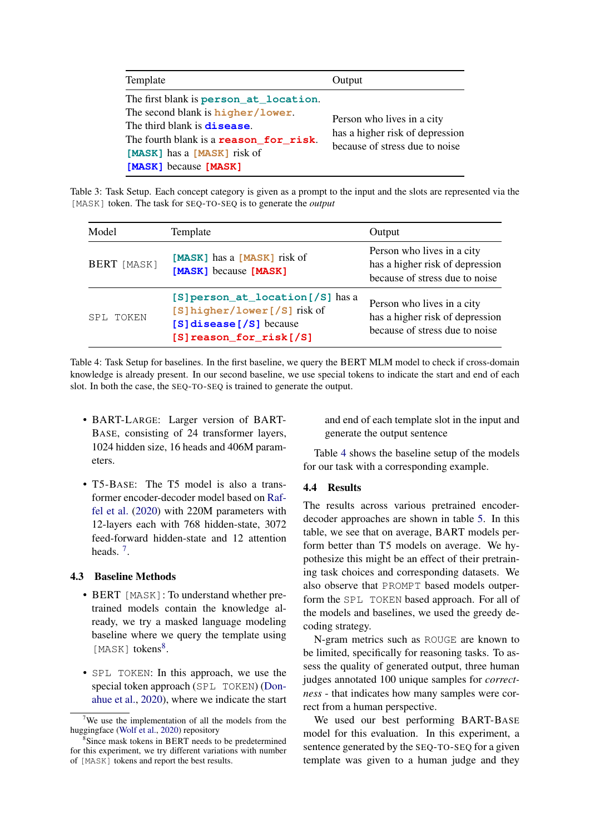<span id="page-4-0"></span>

| Template                                                                                                                                                                                                             | Output                                                                                          |
|----------------------------------------------------------------------------------------------------------------------------------------------------------------------------------------------------------------------|-------------------------------------------------------------------------------------------------|
| The first blank is person_at_location.<br>The second blank is higher/lower.<br>The third blank is <b>disease</b> .<br>The fourth blank is a reason_for_risk.<br>[MASK] has a [MASK] risk of<br>[MASK] because [MASK] | Person who lives in a city<br>has a higher risk of depression<br>because of stress due to noise |

Table 3: Task Setup. Each concept category is given as a prompt to the input and the slots are represented via the [MASK] token. The task for SEQ-TO-SEQ is to generate the *output*

<span id="page-4-3"></span>

| Model              | Template                                                                                                                 | Output                                                                                          |
|--------------------|--------------------------------------------------------------------------------------------------------------------------|-------------------------------------------------------------------------------------------------|
| <b>BERT</b> [MASK] | [MASK] has a [MASK] risk of<br>[MASK] because [MASK]                                                                     | Person who lives in a city<br>has a higher risk of depression<br>because of stress due to noise |
| SPL TOKEN          | [S] person_at_location [/S] has a<br>[S] higher/lower [/S] risk of<br>[S] disease [/S] because<br>[S]reason_for_risk[/S] | Person who lives in a city<br>has a higher risk of depression<br>because of stress due to noise |

Table 4: Task Setup for baselines. In the first baseline, we query the BERT MLM model to check if cross-domain knowledge is already present. In our second baseline, we use special tokens to indicate the start and end of each slot. In both the case, the SEQ-TO-SEQ is trained to generate the output.

- BART-LARGE: Larger version of BART-BASE, consisting of 24 transformer layers, 1024 hidden size, 16 heads and 406M parameters.
- T5-BASE: The T5 model is also a transformer encoder-decoder model based on [Raf](#page-8-10)[fel et al.](#page-8-10) [\(2020\)](#page-8-10) with 220M parameters with 12-layers each with 768 hidden-state, 3072 feed-forward hidden-state and 12 attention heads.  $7$ .

### 4.3 Baseline Methods

- BERT [MASK]: To understand whether pretrained models contain the knowledge already, we try a masked language modeling baseline where we query the template using [MASK] tokens<sup>[8](#page-4-2)</sup>.
- SPL TOKEN: In this approach, we use the special token approach (SPL TOKEN) [\(Don](#page-7-10)[ahue et al.,](#page-7-10) [2020\)](#page-7-10), where we indicate the start

and end of each template slot in the input and generate the output sentence

Table [4](#page-4-3) shows the baseline setup of the models for our task with a corresponding example.

#### 4.4 Results

The results across various pretrained encoderdecoder approaches are shown in table [5.](#page-6-3) In this table, we see that on average, BART models perform better than T5 models on average. We hypothesize this might be an effect of their pretraining task choices and corresponding datasets. We also observe that PROMPT based models outperform the SPL TOKEN based approach. For all of the models and baselines, we used the greedy decoding strategy.

N-gram metrics such as ROUGE are known to be limited, specifically for reasoning tasks. To assess the quality of generated output, three human judges annotated 100 unique samples for *correctness* - that indicates how many samples were correct from a human perspective.

We used our best performing BART-BASE model for this evaluation. In this experiment, a sentence generated by the SEQ-TO-SEQ for a given template was given to a human judge and they

<span id="page-4-1"></span><sup>&</sup>lt;sup>7</sup>We use the implementation of all the models from the huggingface [\(Wolf et al.,](#page-8-11) [2020\)](#page-8-11) repository

<span id="page-4-2"></span><sup>&</sup>lt;sup>8</sup>Since mask tokens in BERT needs to be predetermined for this experiment, we try different variations with number of [MASK] tokens and report the best results.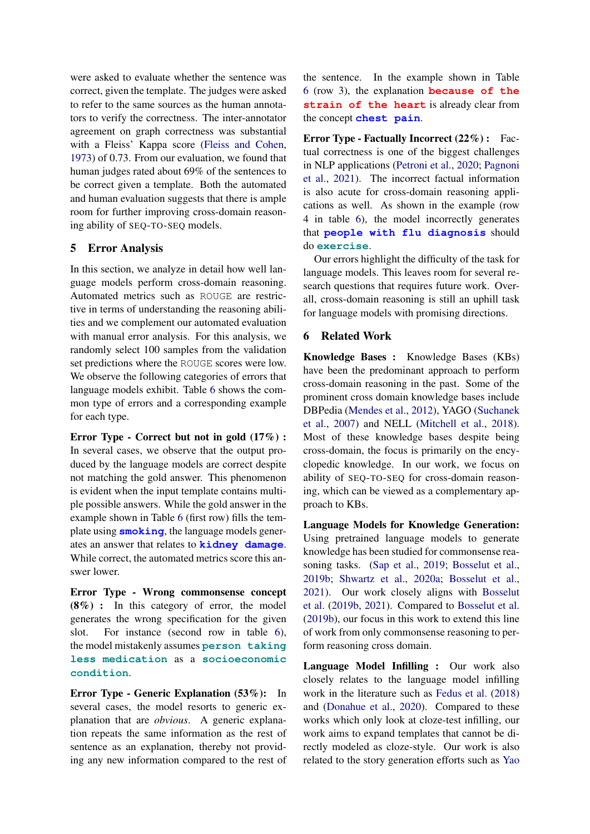were asked to evaluate whether the sentence was correct, given the template. The judges were asked to refer to the same sources as the human annotators to verify the correctness. The inter-annotator agreement on graph correctness was substantial with a Fleiss' Kappa score [\(Fleiss and Cohen,](#page-7-13) [1973\)](#page-7-13) of 0.73. From our evaluation, we found that human judges rated about 69% of the sentences to be correct given a template. Both the automated and human evaluation suggests that there is ample room for further improving cross-domain reasoning ability of SEQ-TO-SEQ models.

# 5 Error Analysis

In this section, we analyze in detail how well language models perform cross-domain reasoning. Automated metrics such as ROUGE are restrictive in terms of understanding the reasoning abilities and we complement our automated evaluation with manual error analysis. For this analysis, we randomly select 100 samples from the validation set predictions where the ROUGE scores were low. We observe the following categories of errors that language models exhibit. Table [6](#page-6-4) shows the common type of errors and a corresponding example for each type.

Error Type - Correct but not in gold (17%) : In several cases, we observe that the output produced by the language models are correct despite not matching the gold answer. This phenomenon is evident when the input template contains multiple possible answers. While the gold answer in the example shown in Table [6](#page-6-4) (first row) fills the template using **smoking**, the language models generates an answer that relates to **kidney damage**. While correct, the automated metrics score this answer lower.

Error Type - Wrong commonsense concept  $(8\%)$ : In this category of error, the model generates the wrong specification for the given slot. For instance (second row in table [6\)](#page-6-4), the model mistakenly assumes **person taking less medication** as a **socioeconomic condition**.

Error Type - Generic Explanation (53%): In several cases, the model resorts to generic explanation that are *obvious*. A generic explanation repeats the same information as the rest of sentence as an explanation, thereby not providing any new information compared to the rest of the sentence. In the example shown in Table [6](#page-6-4) (row 3), the explanation **because of the strain of the heart** is already clear from the concept **chest pain**.

Error Type - Factually Incorrect (22%) : Factual correctness is one of the biggest challenges in NLP applications [\(Petroni et al.,](#page-8-12) [2020;](#page-8-12) [Pagnoni](#page-8-13) [et al.,](#page-8-13) [2021\)](#page-8-13). The incorrect factual information is also acute for cross-domain reasoning applications as well. As shown in the example (row 4 in table [6\)](#page-6-4), the model incorrectly generates that **people with flu diagnosis** should do **exercise**.

Our errors highlight the difficulty of the task for language models. This leaves room for several research questions that requires future work. Overall, cross-domain reasoning is still an uphill task for language models with promising directions.

## 6 Related Work

Knowledge Bases : Knowledge Bases (KBs) have been the predominant approach to perform cross-domain reasoning in the past. Some of the prominent cross domain knowledge bases include DBPedia [\(Mendes et al.,](#page-8-2) [2012\)](#page-8-2), YAGO [\(Suchanek](#page-8-14) [et al.,](#page-8-14) [2007\)](#page-8-14) and NELL [\(Mitchell et al.,](#page-8-15) [2018\)](#page-8-15). Most of these knowledge bases despite being cross-domain, the focus is primarily on the encyclopedic knowledge. In our work, we focus on ability of SEQ-TO-SEQ for cross-domain reasoning, which can be viewed as a complementary approach to KBs.

Language Models for Knowledge Generation: Using pretrained language models to generate knowledge has been studied for commonsense reasoning tasks. [\(Sap et al.,](#page-8-6) [2019;](#page-8-6) [Bosselut et al.,](#page-7-0) [2019b;](#page-7-0) [Shwartz et al.,](#page-8-16) [2020a;](#page-8-16) [Bosselut et al.,](#page-6-5) [2021\)](#page-6-5). Our work closely aligns with [Bosselut](#page-7-0) [et al.](#page-7-0) [\(2019b,](#page-7-0) [2021\)](#page-6-5). Compared to [Bosselut et al.](#page-7-0) [\(2019b\)](#page-7-0), our focus in this work to extend this line of work from only commonsense reasoning to perform reasoning cross domain.

Language Model Infilling : Our work also closely relates to the language model infilling work in the literature such as [Fedus et al.](#page-7-14) [\(2018\)](#page-7-14) and [\(Donahue et al.,](#page-7-10) [2020\)](#page-7-10). Compared to these works which only look at cloze-test infilling, our work aims to expand templates that cannot be directly modeled as cloze-style. Our work is also related to the story generation efforts such as [Yao](#page-9-1)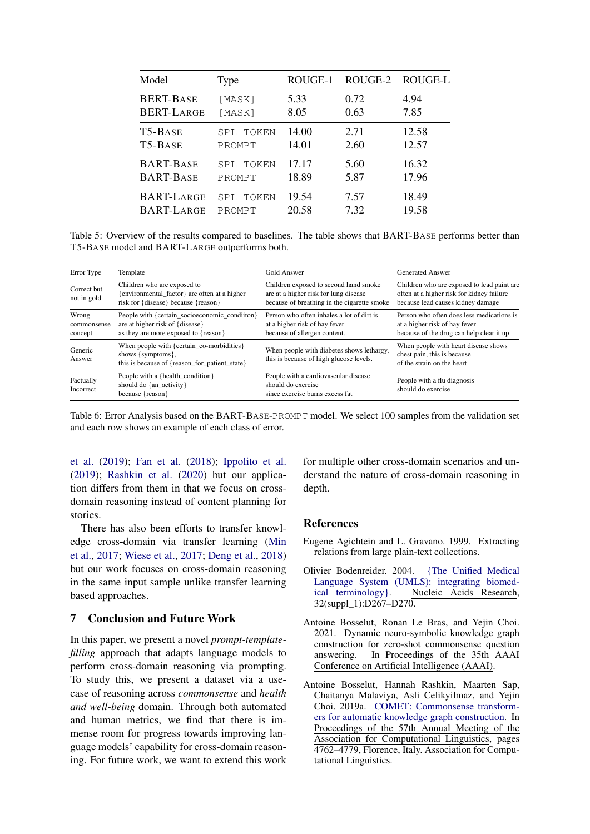<span id="page-6-3"></span>

| Model                                 | <b>Type</b>                                 | ROUGE-1        | ROUGE-2      | ROUGE-L        |
|---------------------------------------|---------------------------------------------|----------------|--------------|----------------|
| <b>BERT-BASE</b><br><b>BERT-LARGE</b> | [MASK]<br>[MASK]                            | 5.33<br>8.05   | 0.72<br>0.63 | 4.94<br>7.85   |
| T5-BASE<br>T5-BASE                    | <b>TOKEN</b><br><b>SPL</b><br><b>PROMPT</b> | 14.00<br>14.01 | 2.71<br>2.60 | 12.58<br>12.57 |
| <b>BART-BASE</b><br><b>BART-BASE</b>  | SPL TOKEN<br><b>PROMPT</b>                  | 17.17<br>18.89 | 5.60<br>5.87 | 16.32<br>17.96 |
| BART-LARGE<br>BART-LARGE              | TOKEN<br>SPT.<br><b>PROMPT</b>              | 19.54<br>20.58 | 7.57<br>7.32 | 18.49<br>19.58 |

Table 5: Overview of the results compared to baselines. The table shows that BART-BASE performs better than T5-BASE model and BART-LARGE outperforms both.

<span id="page-6-4"></span>

| Error Type                      | Template                                                                                                                 | Gold Answer                                                                                                                   | <b>Generated Answer</b>                                                                                                      |
|---------------------------------|--------------------------------------------------------------------------------------------------------------------------|-------------------------------------------------------------------------------------------------------------------------------|------------------------------------------------------------------------------------------------------------------------------|
| Correct but<br>not in gold      | Children who are exposed to<br>{environmental_factor} are often at a higher<br>risk for {disease} because {reason}       | Children exposed to second hand smoke<br>are at a higher risk for lung disease<br>because of breathing in the cigarette smoke | Children who are exposed to lead paint are<br>often at a higher risk for kidney failure<br>because lead causes kidney damage |
| Wrong<br>commonsense<br>concept | People with {certain_socioeconomic_condition}<br>are at higher risk of {disease}<br>as they are more exposed to {reason} | Person who often inhales a lot of dirt is<br>at a higher risk of hay fever<br>because of allergen content.                    | Person who often does less medications is<br>at a higher risk of hay fever<br>because of the drug can help clear it up       |
| Generic<br>Answer               | When people with {certain_co-morbidities}<br>shows {symptoms},<br>this is because of {reason_for_patient_state}          | When people with diabetes shows lethargy,<br>this is because of high glucose levels.                                          | When people with heart disease shows<br>chest pain, this is because<br>of the strain on the heart                            |
| Factually<br>Incorrect          | People with a {health_condition}<br>should do {an_activity}<br>because {reason}                                          | People with a cardiovascular disease<br>should do exercise<br>since exercise burns excess fat                                 | People with a flu diagnosis<br>should do exercise                                                                            |

Table 6: Error Analysis based on the BART-BASE-PROMPT model. We select 100 samples from the validation set and each row shows an example of each class of error.

[et al.](#page-9-1) [\(2019\)](#page-9-1); [Fan et al.](#page-7-15) [\(2018\)](#page-7-15); [Ippolito et al.](#page-7-16) [\(2019\)](#page-7-16); [Rashkin et al.](#page-8-17) [\(2020\)](#page-8-17) but our application differs from them in that we focus on crossdomain reasoning instead of content planning for stories.

There has also been efforts to transfer knowledge cross-domain via transfer learning [\(Min](#page-8-18) [et al.,](#page-8-18) [2017;](#page-8-18) [Wiese et al.,](#page-8-19) [2017;](#page-8-19) [Deng et al.,](#page-7-17) [2018\)](#page-7-17) but our work focuses on cross-domain reasoning in the same input sample unlike transfer learning based approaches.

## 7 Conclusion and Future Work

In this paper, we present a novel *prompt-templatefilling* approach that adapts language models to perform cross-domain reasoning via prompting. To study this, we present a dataset via a usecase of reasoning across *commonsense* and *health and well-being* domain. Through both automated and human metrics, we find that there is immense room for progress towards improving language models' capability for cross-domain reasoning. For future work, we want to extend this work for multiple other cross-domain scenarios and understand the nature of cross-domain reasoning in depth.

#### References

- <span id="page-6-2"></span>Eugene Agichtein and L. Gravano. 1999. Extracting relations from large plain-text collections.
- <span id="page-6-1"></span>Olivier Bodenreider. 2004. [{The Unified Medical](https://doi.org/10.1093/nar/gkh061) Language System (UMLS): integrating biomed-<br>ical terminology}. Nucleic Acids Research. Nucleic Acids Research, 32(suppl\_1):D267–D270.
- <span id="page-6-5"></span>Antoine Bosselut, Ronan Le Bras, and Yejin Choi. 2021. Dynamic neuro-symbolic knowledge graph construction for zero-shot commonsense question answering. In Proceedings of the 35th AAAI Conference on Artificial Intelligence (AAAI).
- <span id="page-6-0"></span>Antoine Bosselut, Hannah Rashkin, Maarten Sap, Chaitanya Malaviya, Asli Celikyilmaz, and Yejin Choi. 2019a. [COMET: Commonsense transform](https://doi.org/10.18653/v1/P19-1470)[ers for automatic knowledge graph construction.](https://doi.org/10.18653/v1/P19-1470) In Proceedings of the 57th Annual Meeting of the Association for Computational Linguistics, pages 4762–4779, Florence, Italy. Association for Computational Linguistics.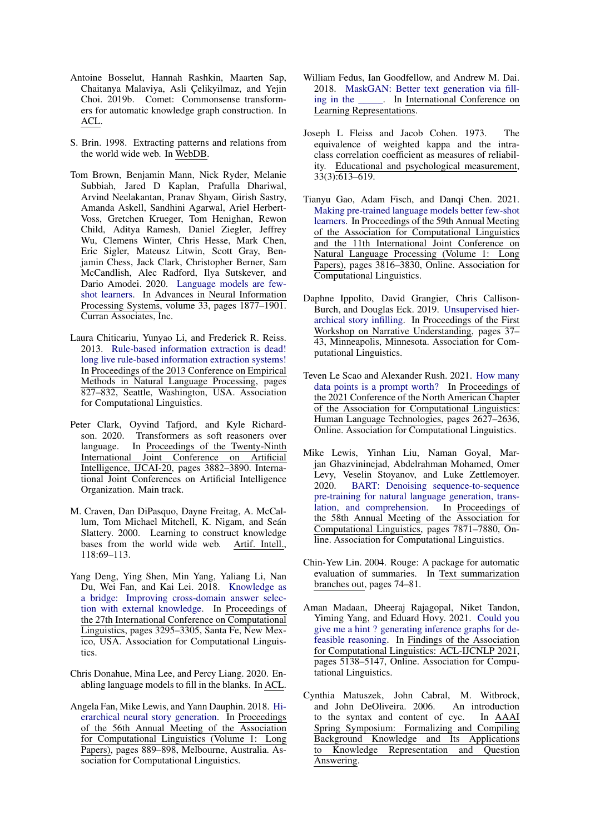- <span id="page-7-0"></span>Antoine Bosselut, Hannah Rashkin, Maarten Sap, Chaitanya Malaviya, Asli Çelikyilmaz, and Yejin Choi. 2019b. Comet: Commonsense transformers for automatic knowledge graph construction. In ACL.
- <span id="page-7-4"></span>S. Brin. 1998. Extracting patterns and relations from the world wide web. In WebDB.
- <span id="page-7-7"></span>Tom Brown, Benjamin Mann, Nick Ryder, Melanie Subbiah, Jared D Kaplan, Prafulla Dhariwal, Arvind Neelakantan, Pranav Shyam, Girish Sastry, Amanda Askell, Sandhini Agarwal, Ariel Herbert-Voss, Gretchen Krueger, Tom Henighan, Rewon Child, Aditya Ramesh, Daniel Ziegler, Jeffrey Wu, Clemens Winter, Chris Hesse, Mark Chen, Eric Sigler, Mateusz Litwin, Scott Gray, Benjamin Chess, Jack Clark, Christopher Berner, Sam McCandlish, Alec Radford, Ilya Sutskever, and Dario Amodei. 2020. [Language models are few](https://proceedings.neurips.cc/paper/2020/file/1457c0d6bfcb4967418bfb8ac142f64a-Paper.pdf)[shot learners.](https://proceedings.neurips.cc/paper/2020/file/1457c0d6bfcb4967418bfb8ac142f64a-Paper.pdf) In Advances in Neural Information Processing Systems, volume 33, pages 1877–1901. Curran Associates, Inc.
- <span id="page-7-6"></span>Laura Chiticariu, Yunyao Li, and Frederick R. Reiss. 2013. [Rule-based information extraction is dead!](https://aclanthology.org/D13-1079) [long live rule-based information extraction systems!](https://aclanthology.org/D13-1079) In Proceedings of the 2013 Conference on Empirical Methods in Natural Language Processing, pages 827–832, Seattle, Washington, USA. Association for Computational Linguistics.
- <span id="page-7-2"></span>Peter Clark, Oyvind Tafjord, and Kyle Richardson. 2020. Transformers as soft reasoners over language. In Proceedings of the Twenty-Ninth International Joint Conference on Artificial Intelligence, IJCAI-20, pages 3882–3890. International Joint Conferences on Artificial Intelligence Organization. Main track.
- <span id="page-7-5"></span>M. Craven, Dan DiPasquo, Dayne Freitag, A. McCallum, Tom Michael Mitchell, K. Nigam, and Seán Slattery. 2000. Learning to construct knowledge bases from the world wide web. Artif. Intell., 118:69–113.
- <span id="page-7-17"></span>Yang Deng, Ying Shen, Min Yang, Yaliang Li, Nan Du, Wei Fan, and Kai Lei. 2018. [Knowledge as](https://aclanthology.org/C18-1279) [a bridge: Improving cross-domain answer selec](https://aclanthology.org/C18-1279)[tion with external knowledge.](https://aclanthology.org/C18-1279) In Proceedings of the 27th International Conference on Computational Linguistics, pages 3295–3305, Santa Fe, New Mexico, USA. Association for Computational Linguistics.
- <span id="page-7-10"></span>Chris Donahue, Mina Lee, and Percy Liang. 2020. Enabling language models to fill in the blanks. In ACL.
- <span id="page-7-15"></span>Angela Fan, Mike Lewis, and Yann Dauphin. 2018. [Hi](https://doi.org/10.18653/v1/P18-1082)[erarchical neural story generation.](https://doi.org/10.18653/v1/P18-1082) In Proceedings of the 56th Annual Meeting of the Association for Computational Linguistics (Volume 1: Long Papers), pages 889–898, Melbourne, Australia. Association for Computational Linguistics.
- <span id="page-7-14"></span>William Fedus, Ian Goodfellow, and Andrew M. Dai. 2018. [MaskGAN: Better text generation via fill](https://openreview.net/forum?id=ByOExmWAb)ing in the Tells In International Conference on Learning Representations.
- <span id="page-7-13"></span>Joseph L Fleiss and Jacob Cohen. 1973. The equivalence of weighted kappa and the intraclass correlation coefficient as measures of reliability. Educational and psychological measurement, 33(3):613–619.
- <span id="page-7-8"></span>Tianyu Gao, Adam Fisch, and Danqi Chen. 2021. [Making pre-trained language models better few-shot](https://doi.org/10.18653/v1/2021.acl-long.295) [learners.](https://doi.org/10.18653/v1/2021.acl-long.295) In Proceedings of the 59th Annual Meeting of the Association for Computational Linguistics and the 11th International Joint Conference on Natural Language Processing (Volume 1: Long Papers), pages 3816–3830, Online. Association for Computational Linguistics.
- <span id="page-7-16"></span>Daphne Ippolito, David Grangier, Chris Callison-Burch, and Douglas Eck. 2019. [Unsupervised hier](https://doi.org/10.18653/v1/W19-2405)[archical story infilling.](https://doi.org/10.18653/v1/W19-2405) In Proceedings of the First Workshop on Narrative Understanding, pages 37– 43, Minneapolis, Minnesota. Association for Computational Linguistics.
- <span id="page-7-9"></span>Teven Le Scao and Alexander Rush. 2021. [How many](https://doi.org/10.18653/v1/2021.naacl-main.208) [data points is a prompt worth?](https://doi.org/10.18653/v1/2021.naacl-main.208) In Proceedings of the 2021 Conference of the North American Chapter of the Association for Computational Linguistics: Human Language Technologies, pages 2627–2636, Online. Association for Computational Linguistics.
- <span id="page-7-12"></span>Mike Lewis, Yinhan Liu, Naman Goyal, Marjan Ghazvininejad, Abdelrahman Mohamed, Omer Levy, Veselin Stoyanov, and Luke Zettlemoyer. 2020. [BART: Denoising sequence-to-sequence](https://doi.org/10.18653/v1/2020.acl-main.703) [pre-training for natural language generation, trans](https://doi.org/10.18653/v1/2020.acl-main.703)[lation, and comprehension.](https://doi.org/10.18653/v1/2020.acl-main.703) In Proceedings of the 58th Annual Meeting of the Association for Computational Linguistics, pages 7871–7880, Online. Association for Computational Linguistics.
- <span id="page-7-11"></span>Chin-Yew Lin. 2004. Rouge: A package for automatic evaluation of summaries. In Text summarization branches out, pages 74–81.
- <span id="page-7-1"></span>Aman Madaan, Dheeraj Rajagopal, Niket Tandon, Yiming Yang, and Eduard Hovy. 2021. [Could you](https://doi.org/10.18653/v1/2021.findings-acl.456) [give me a hint ? generating inference graphs for de](https://doi.org/10.18653/v1/2021.findings-acl.456)[feasible reasoning.](https://doi.org/10.18653/v1/2021.findings-acl.456) In Findings of the Association for Computational Linguistics: ACL-IJCNLP 2021, pages 5138–5147, Online. Association for Computational Linguistics.
- <span id="page-7-3"></span>Cynthia Matuszek, John Cabral, M. Witbrock, and John DeOliveira. 2006. An introduction to the syntax and content of cyc. In AAAI Spring Symposium: Formalizing and Compiling Background Knowledge and Its Applications to Knowledge Representation and Question Answering.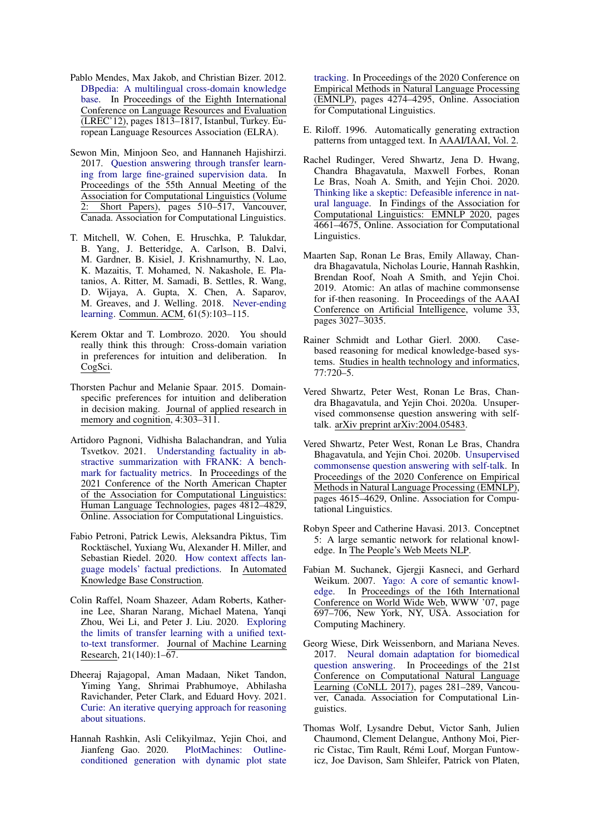- <span id="page-8-2"></span>Pablo Mendes, Max Jakob, and Christian Bizer. 2012. [DBpedia: A multilingual cross-domain knowledge](http://www.lrec-conf.org/proceedings/lrec2012/pdf/570_Paper.pdf) [base.](http://www.lrec-conf.org/proceedings/lrec2012/pdf/570_Paper.pdf) In Proceedings of the Eighth International Conference on Language Resources and Evaluation (LREC'12), pages 1813–1817, Istanbul, Turkey. European Language Resources Association (ELRA).
- <span id="page-8-18"></span>Sewon Min, Minjoon Seo, and Hannaneh Hajishirzi. 2017. [Question answering through transfer learn](https://doi.org/10.18653/v1/P17-2081)[ing from large fine-grained supervision data.](https://doi.org/10.18653/v1/P17-2081) In Proceedings of the 55th Annual Meeting of the Association for Computational Linguistics (Volume Short Papers), pages 510-517, Vancouver, Canada. Association for Computational Linguistics.
- <span id="page-8-15"></span>T. Mitchell, W. Cohen, E. Hruschka, P. Talukdar, B. Yang, J. Betteridge, A. Carlson, B. Dalvi, M. Gardner, B. Kisiel, J. Krishnamurthy, N. Lao, K. Mazaitis, T. Mohamed, N. Nakashole, E. Platanios, A. Ritter, M. Samadi, B. Settles, R. Wang, D. Wijaya, A. Gupta, X. Chen, A. Saparov, M. Greaves, and J. Welling. 2018. [Never-ending](https://doi.org/10.1145/3191513) [learning.](https://doi.org/10.1145/3191513) Commun. ACM, 61(5):103–115.
- <span id="page-8-1"></span>Kerem Oktar and T. Lombrozo. 2020. You should really think this through: Cross-domain variation in preferences for intuition and deliberation. In CogSci.
- <span id="page-8-0"></span>Thorsten Pachur and Melanie Spaar. 2015. Domainspecific preferences for intuition and deliberation in decision making. Journal of applied research in memory and cognition, 4:303–311.
- <span id="page-8-13"></span>Artidoro Pagnoni, Vidhisha Balachandran, and Yulia Tsvetkov. 2021. [Understanding factuality in ab](https://doi.org/10.18653/v1/2021.naacl-main.383)[stractive summarization with FRANK: A bench](https://doi.org/10.18653/v1/2021.naacl-main.383)[mark for factuality metrics.](https://doi.org/10.18653/v1/2021.naacl-main.383) In Proceedings of the 2021 Conference of the North American Chapter of the Association for Computational Linguistics: Human Language Technologies, pages 4812–4829, Online. Association for Computational Linguistics.
- <span id="page-8-12"></span>Fabio Petroni, Patrick Lewis, Aleksandra Piktus, Tim Rocktäschel, Yuxiang Wu, Alexander H. Miller, and Sebastian Riedel. 2020. [How context affects lan](https://openreview.net/forum?id=025X0zPfn)[guage models' factual predictions.](https://openreview.net/forum?id=025X0zPfn) In Automated Knowledge Base Construction.
- <span id="page-8-10"></span>Colin Raffel, Noam Shazeer, Adam Roberts, Katherine Lee, Sharan Narang, Michael Matena, Yanqi Zhou, Wei Li, and Peter J. Liu. 2020. [Exploring](http://jmlr.org/papers/v21/20-074.html) [the limits of transfer learning with a unified text](http://jmlr.org/papers/v21/20-074.html)[to-text transformer.](http://jmlr.org/papers/v21/20-074.html) Journal of Machine Learning Research, 21(140):1–67.
- <span id="page-8-4"></span>Dheeraj Rajagopal, Aman Madaan, Niket Tandon, Yiming Yang, Shrimai Prabhumoye, Abhilasha Ravichander, Peter Clark, and Eduard Hovy. 2021. [Curie: An iterative querying approach for reasoning](http://arxiv.org/abs/2104.00814) [about situations.](http://arxiv.org/abs/2104.00814)
- <span id="page-8-17"></span>Hannah Rashkin, Asli Celikyilmaz, Yejin Choi, and Jianfeng Gao. 2020. [PlotMachines: Outline](https://doi.org/10.18653/v1/2020.emnlp-main.349)[conditioned generation with dynamic plot state](https://doi.org/10.18653/v1/2020.emnlp-main.349)

[tracking.](https://doi.org/10.18653/v1/2020.emnlp-main.349) In Proceedings of the 2020 Conference on Empirical Methods in Natural Language Processing (EMNLP), pages 4274–4295, Online. Association for Computational Linguistics.

- <span id="page-8-8"></span>E. Riloff. 1996. Automatically generating extraction patterns from untagged text. In AAAI/IAAI, Vol. 2.
- <span id="page-8-9"></span>Rachel Rudinger, Vered Shwartz, Jena D. Hwang, Chandra Bhagavatula, Maxwell Forbes, Ronan Le Bras, Noah A. Smith, and Yejin Choi. 2020. [Thinking like a skeptic: Defeasible inference in nat](https://www.aclweb.org/anthology/2020.findings-emnlp.418)[ural language.](https://www.aclweb.org/anthology/2020.findings-emnlp.418) In Findings of the Association for Computational Linguistics: EMNLP 2020, pages 4661–4675, Online. Association for Computational Linguistics.
- <span id="page-8-6"></span>Maarten Sap, Ronan Le Bras, Emily Allaway, Chandra Bhagavatula, Nicholas Lourie, Hannah Rashkin, Brendan Roof, Noah A Smith, and Yejin Choi. 2019. Atomic: An atlas of machine commonsense for if-then reasoning. In Proceedings of the AAAI Conference on Artificial Intelligence, volume 33, pages 3027–3035.
- <span id="page-8-7"></span>Rainer Schmidt and Lothar Gierl. 2000. Casebased reasoning for medical knowledge-based systems. Studies in health technology and informatics,  $77:720 - 5.$
- <span id="page-8-16"></span>Vered Shwartz, Peter West, Ronan Le Bras, Chandra Bhagavatula, and Yejin Choi. 2020a. Unsupervised commonsense question answering with selftalk. arXiv preprint arXiv:2004.05483.
- <span id="page-8-3"></span>Vered Shwartz, Peter West, Ronan Le Bras, Chandra Bhagavatula, and Yejin Choi. 2020b. [Unsupervised](https://doi.org/10.18653/v1/2020.emnlp-main.373) [commonsense question answering with self-talk.](https://doi.org/10.18653/v1/2020.emnlp-main.373) In Proceedings of the 2020 Conference on Empirical Methods in Natural Language Processing (EMNLP), pages 4615–4629, Online. Association for Computational Linguistics.
- <span id="page-8-5"></span>Robyn Speer and Catherine Havasi. 2013. Conceptnet 5: A large semantic network for relational knowledge. In The People's Web Meets NLP.
- <span id="page-8-14"></span>Fabian M. Suchanek, Gjergji Kasneci, and Gerhard Weikum. 2007. [Yago: A core of semantic knowl](https://doi.org/10.1145/1242572.1242667)[edge.](https://doi.org/10.1145/1242572.1242667) In Proceedings of the 16th International Conference on World Wide Web, WWW '07, page 697–706, New York, NY, USA. Association for Computing Machinery.
- <span id="page-8-19"></span>Georg Wiese, Dirk Weissenborn, and Mariana Neves. 2017. [Neural domain adaptation for biomedical](https://doi.org/10.18653/v1/K17-1029) [question answering.](https://doi.org/10.18653/v1/K17-1029) In Proceedings of the 21st Conference on Computational Natural Language Learning (CoNLL 2017), pages 281–289, Vancouver, Canada. Association for Computational Linguistics.
- <span id="page-8-11"></span>Thomas Wolf, Lysandre Debut, Victor Sanh, Julien Chaumond, Clement Delangue, Anthony Moi, Pierric Cistac, Tim Rault, Rémi Louf, Morgan Funtowicz, Joe Davison, Sam Shleifer, Patrick von Platen,